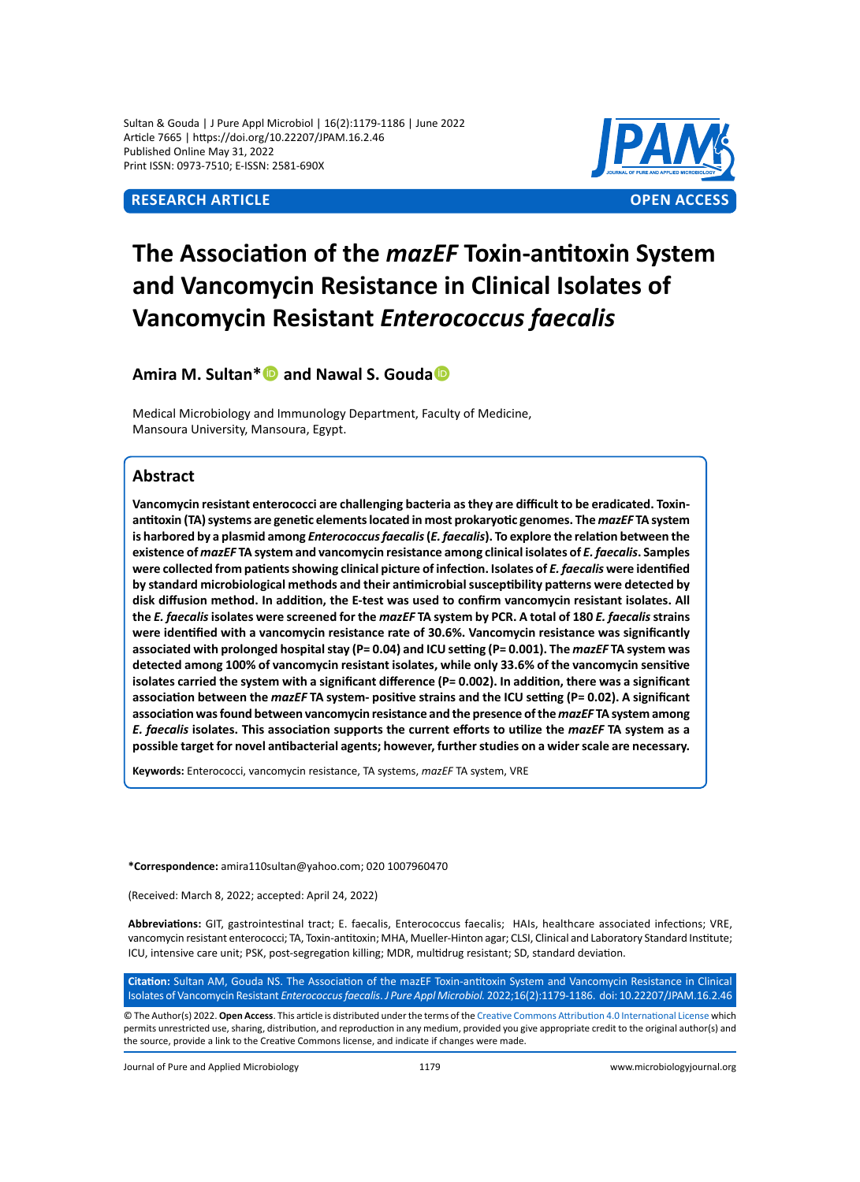Sultan & Gouda | J Pure Appl Microbiol | 16(2):1179-1186 | June 2022 Article 7665 | https://doi.org/10.22207/JPAM.16.2.46 Published Online May 31, 2022 Print ISSN: 0973-7510; E-ISSN: 2581-690X



# **The Association of the** *mazEF* **Toxin-antitoxin System and Vancomycin Resistance in Clinical Isolates of Vancomycin Resistant** *Enterococcus faecalis*

# **Amira M. Sultan\* and Nawal S. Gouda**

Medical Microbiology and Immunology Department, Faculty of Medicine, Mansoura University, Mansoura, Egypt.

## **Abstract**

**Vancomycin resistant enterococci are challenging bacteria as they are difficult to be eradicated. Toxinantitoxin (TA) systems are genetic elements located in most prokaryotic genomes. The** *mazEF* **TA system is harbored by a plasmid among** *Enterococcus faecalis* **(***E. faecalis***). To explore the relation between the existence of** *mazEF* **TA system and vancomycin resistance among clinical isolates of** *E. faecalis***. Samples were collected from patients showing clinical picture of infection. Isolates of** *E. faecalis* **were identified by standard microbiological methods and their antimicrobial susceptibility patterns were detected by disk diffusion method. In addition, the E-test was used to confirm vancomycin resistant isolates. All the** *E. faecalis* **isolates were screened for the** *mazEF* **TA system by PCR. A total of 180** *E. faecalis* **strains were identified with a vancomycin resistance rate of 30.6%. Vancomycin resistance was significantly associated with prolonged hospital stay (P= 0.04) and ICU setting (P= 0.001). The** *mazEF* **TA system was detected among 100% of vancomycin resistant isolates, while only 33.6% of the vancomycin sensitive isolates carried the system with a significant difference (P= 0.002). In addition, there was a significant association between the** *mazEF* **TA system- positive strains and the ICU setting (P= 0.02). A significant association was found between vancomycin resistance and the presence of the** *mazEF* **TA system among**  *E. faecalis* **isolates. This association supports the current efforts to utilize the** *mazEF* **TA system as a possible target for novel antibacterial agents; however, further studies on a wider scale are necessary.**

**Keywords:** Enterococci, vancomycin resistance, TA systems, *mazEF* TA system, VRE

**\*Correspondence:** amira110sultan@yahoo.com; 020 1007960470

(Received: March 8, 2022; accepted: April 24, 2022)

**Abbreviations:** GIT, gastrointestinal tract; E. faecalis, Enterococcus faecalis; HAIs, healthcare associated infections; VRE, vancomycin resistant enterococci; TA, Toxin-antitoxin; MHA, Mueller-Hinton agar; CLSI, Clinical and Laboratory Standard Institute; ICU, intensive care unit; PSK, post-segregation killing; MDR, multidrug resistant; SD, standard deviation.

**Citation:** Sultan AM, Gouda NS. The Association of the mazEF Toxin-antitoxin System and Vancomycin Resistance in Clinical Isolates of Vancomycin Resistant *Enterococcus faecalis*. *J Pure Appl Microbiol.* 2022;16(2):1179-1186. doi: 10.22207/JPAM.16.2.46

© The Author(s) 2022. **Open Access**. This article is distributed under the terms of the [Creative Commons Attribution 4.0 International License](https://creativecommons.org/licenses/by/4.0/) which permits unrestricted use, sharing, distribution, and reproduction in any medium, provided you give appropriate credit to the original author(s) and the source, provide a link to the Creative Commons license, and indicate if changes were made.

Journal of Pure and Applied Microbiology 1179 www.microbiologyjournal.org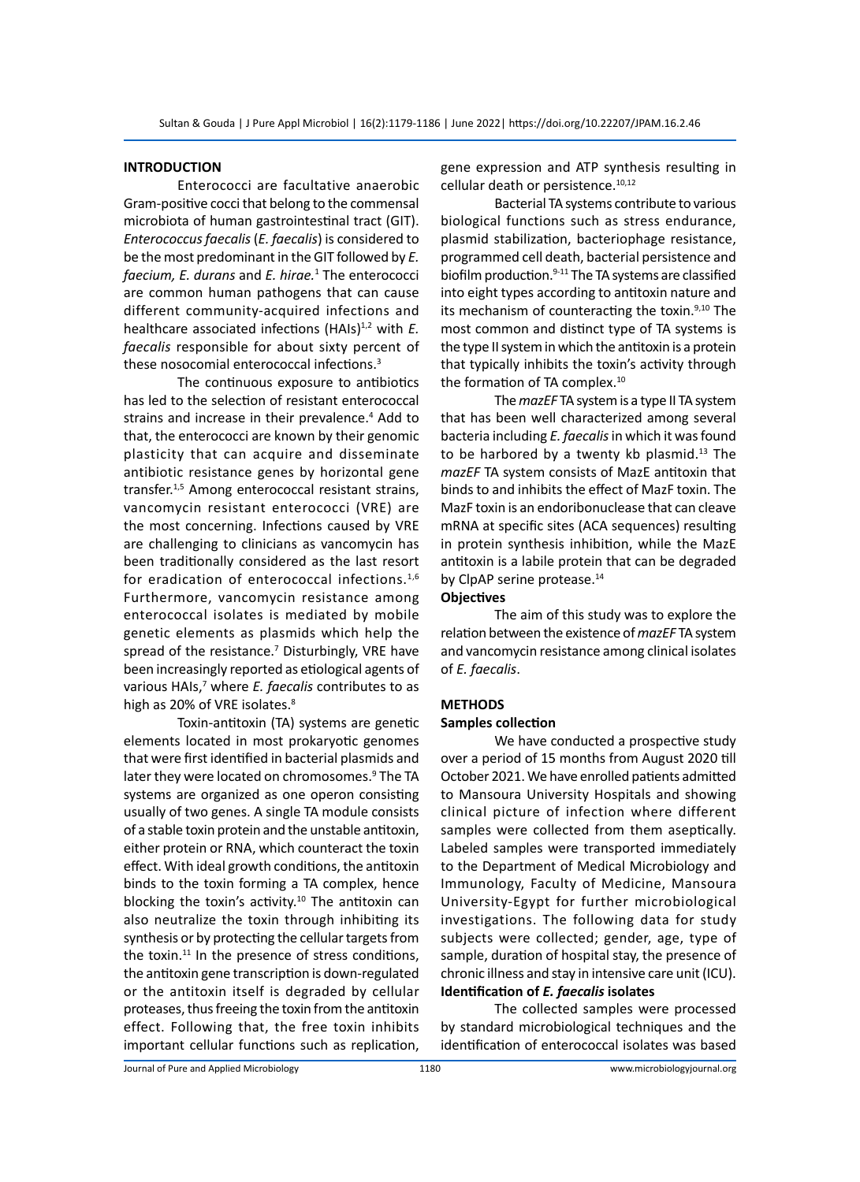#### **INTRODUCTION**

Enterococci are facultative anaerobic Gram-positive cocci that belong to the commensal microbiota of human gastrointestinal tract (GIT). *Enterococcus faecalis* (*E. faecalis*) is considered to be the most predominant in the GIT followed by *E. faecium, E. durans* and *E. hirae.*<sup>1</sup> The enterococci are common human pathogens that can cause different community-acquired infections and healthcare associated infections (HAIs)<sup>1,2</sup> with *E*. *faecalis* responsible for about sixty percent of these nosocomial enterococcal infections.3

The continuous exposure to antibiotics has led to the selection of resistant enterococcal strains and increase in their prevalence.<sup>4</sup> Add to that, the enterococci are known by their genomic plasticity that can acquire and disseminate antibiotic resistance genes by horizontal gene transfer.<sup>1,5</sup> Among enterococcal resistant strains, vancomycin resistant enterococci (VRE) are the most concerning. Infections caused by VRE are challenging to clinicians as vancomycin has been traditionally considered as the last resort for eradication of enterococcal infections.<sup>1,6</sup> Furthermore, vancomycin resistance among enterococcal isolates is mediated by mobile genetic elements as plasmids which help the spread of the resistance.<sup>7</sup> Disturbingly, VRE have been increasingly reported as etiological agents of various HAIs,<sup>7</sup> where *E. faecalis* contributes to as high as 20% of VRE isolates.<sup>8</sup>

Toxin-antitoxin (TA) systems are genetic elements located in most prokaryotic genomes that were first identified in bacterial plasmids and later they were located on chromosomes.<sup>9</sup> The TA systems are organized as one operon consisting usually of two genes. A single TA module consists of a stable toxin protein and the unstable antitoxin, either protein or RNA, which counteract the toxin effect. With ideal growth conditions, the antitoxin binds to the toxin forming a TA complex, hence blocking the toxin's activity. $10$  The antitoxin can also neutralize the toxin through inhibiting its synthesis or by protecting the cellular targets from the toxin. $11$  In the presence of stress conditions, the antitoxin gene transcription is down-regulated or the antitoxin itself is degraded by cellular proteases, thus freeing the toxin from the antitoxin effect. Following that, the free toxin inhibits important cellular functions such as replication,

gene expression and ATP synthesis resulting in cellular death or persistence.<sup>10,12</sup>

Bacterial TA systems contribute to various biological functions such as stress endurance, plasmid stabilization, bacteriophage resistance, programmed cell death, bacterial persistence and biofilm production. $9-11$  The TA systems are classified into eight types according to antitoxin nature and its mechanism of counteracting the toxin. $9,10$  The most common and distinct type of TA systems is the type II system in which the antitoxin is a protein that typically inhibits the toxin's activity through the formation of TA complex.<sup>10</sup>

The *mazEF* TA system is a type II TA system that has been well characterized among several bacteria including *E. faecalis* in which it was found to be harbored by a twenty kb plasmid. $13$  The *mazEF* TA system consists of MazE antitoxin that binds to and inhibits the effect of MazF toxin. The MazF toxin is an endoribonuclease that can cleave mRNA at specific sites (ACA sequences) resulting in protein synthesis inhibition, while the MazE antitoxin is a labile protein that can be degraded by ClpAP serine protease.<sup>14</sup> **Objectives** 

The aim of this study was to explore the relation between the existence of *mazEF* TA system and vancomycin resistance among clinical isolates of *E. faecalis*.

#### **METHODS**

### **Samples collection**

We have conducted a prospective study over a period of 15 months from August 2020 till October 2021. We have enrolled patients admitted to Mansoura University Hospitals and showing clinical picture of infection where different samples were collected from them aseptically. Labeled samples were transported immediately to the Department of Medical Microbiology and Immunology, Faculty of Medicine, Mansoura University-Egypt for further microbiological investigations. The following data for study subjects were collected; gender, age, type of sample, duration of hospital stay, the presence of chronic illness and stay in intensive care unit (ICU). **Identification of** *E. faecalis* **isolates** 

The collected samples were processed by standard microbiological techniques and the identification of enterococcal isolates was based

Journal of Pure and Applied Microbiology 1180 www.microbiologyjournal.org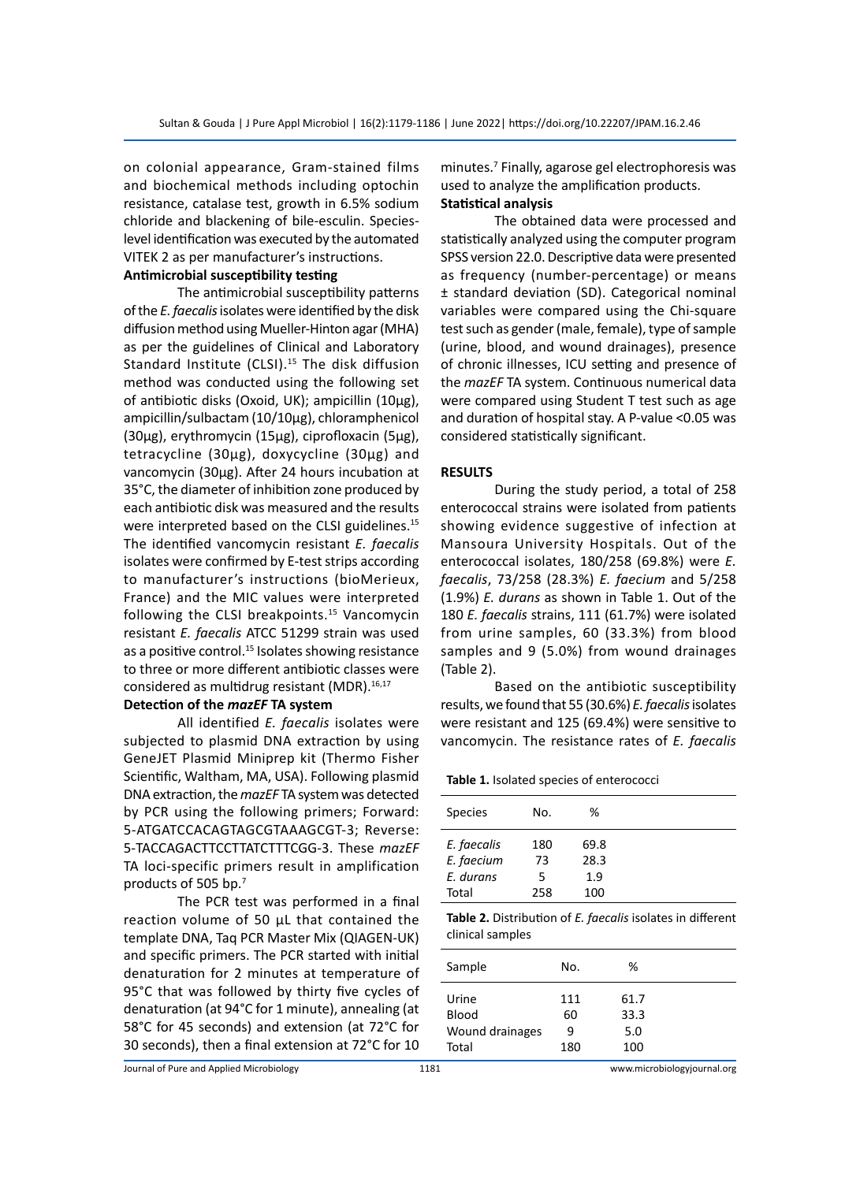on colonial appearance, Gram-stained films and biochemical methods including optochin resistance, catalase test, growth in 6.5% sodium chloride and blackening of bile-esculin. Specieslevel identification was executed by the automated VITEK 2 as per manufacturer's instructions.

### **Antimicrobial susceptibility testing**

The antimicrobial susceptibility patterns of the *E. faecalis* isolates were identified by the disk diffusion method using Mueller-Hinton agar (MHA) as per the guidelines of Clinical and Laboratory Standard Institute (CLSI).<sup>15</sup> The disk diffusion method was conducted using the following set of antibiotic disks (Oxoid, UK); ampicillin (10μg), ampicillin/sulbactam (10/10µg), chloramphenicol (30μg), erythromycin (15μg), ciprofloxacin (5μg), tetracycline (30μg), doxycycline (30μg) and vancomycin (30μg). After 24 hours incubation at 35°C, the diameter of inhibition zone produced by each antibiotic disk was measured and the results were interpreted based on the CLSI guidelines.<sup>15</sup> The identified vancomycin resistant *E. faecalis* isolates were confirmed by E-test strips according to manufacturer's instructions (bioMerieux, France) and the MIC values were interpreted following the CLSI breakpoints.<sup>15</sup> Vancomycin resistant *E. faecalis* ATCC 51299 strain was used as a positive control.<sup>15</sup> Isolates showing resistance to three or more different antibiotic classes were considered as multidrug resistant (MDR).<sup>16,17</sup>

#### **Detection of the** *mazEF* **TA system**

All identified *E. faecalis* isolates were subjected to plasmid DNA extraction by using GeneJET Plasmid Miniprep kit (Thermo Fisher Scientific, Waltham, MA, USA). Following plasmid DNA extraction, the *mazEF* TA system was detected by PCR using the following primers; Forward: 5-ATGATCCACAGTAGCGTAAAGCGT-3; Reverse: 5-TACCAGACTTCCTTATCTTTCGG-3. These *mazEF* TA loci-specific primers result in amplification products of 505 bp.<sup>7</sup>

The PCR test was performed in a final reaction volume of 50 μL that contained the template DNA, Taq PCR Master Mix (QIAGEN-UK) and specific primers. The PCR started with initial denaturation for 2 minutes at temperature of 95°C that was followed by thirty five cycles of denaturation (at 94°C for 1 minute), annealing (at 58°C for 45 seconds) and extension (at 72°C for 30 seconds), then a final extension at 72°C for 10

minutes.7 Finally, agarose gel electrophoresis was used to analyze the amplification products. **Statistical analysis**

The obtained data were processed and statistically analyzed using the computer program SPSS version 22.0. Descriptive data were presented as frequency (number-percentage) or means ± standard deviation (SD). Categorical nominal variables were compared using the Chi-square test such as gender (male, female), type of sample (urine, blood, and wound drainages), presence of chronic illnesses, ICU setting and presence of the *mazEF* TA system. Continuous numerical data were compared using Student T test such as age and duration of hospital stay. A P-value <0.05 was considered statistically significant.

#### **RESULTS**

During the study period, a total of 258 enterococcal strains were isolated from patients showing evidence suggestive of infection at Mansoura University Hospitals. Out of the enterococcal isolates, 180/258 (69.8%) were *E. faecalis*, 73/258 (28.3%) *E. faecium* and 5/258 (1.9%) *E. durans* as shown in Table 1. Out of the 180 *E. faecalis* strains, 111 (61.7%) were isolated from urine samples, 60 (33.3%) from blood samples and 9 (5.0%) from wound drainages (Table 2).

Based on the antibiotic susceptibility results, we found that 55 (30.6%) *E. faecalis* isolates were resistant and 125 (69.4%) were sensitive to vancomycin. The resistance rates of *E. faecalis*

**Table 1.** Isolated species of enterococci

| Species     | No. | %    |  |
|-------------|-----|------|--|
| E. faecalis | 180 | 69.8 |  |
| E. faecium  | 73  | 28.3 |  |
| E. durans   | 5   | 1.9  |  |
| Total       | 258 | 100  |  |

**Table 2.** Distribution of *E. faecalis* isolates in different clinical samples

| Sample          | No.       | ℅            |  |
|-----------------|-----------|--------------|--|
| Urine<br>Blood  | 111<br>60 | 61.7<br>33.3 |  |
| Wound drainages | 9         | 5.0          |  |
| Total           | 180       | 100          |  |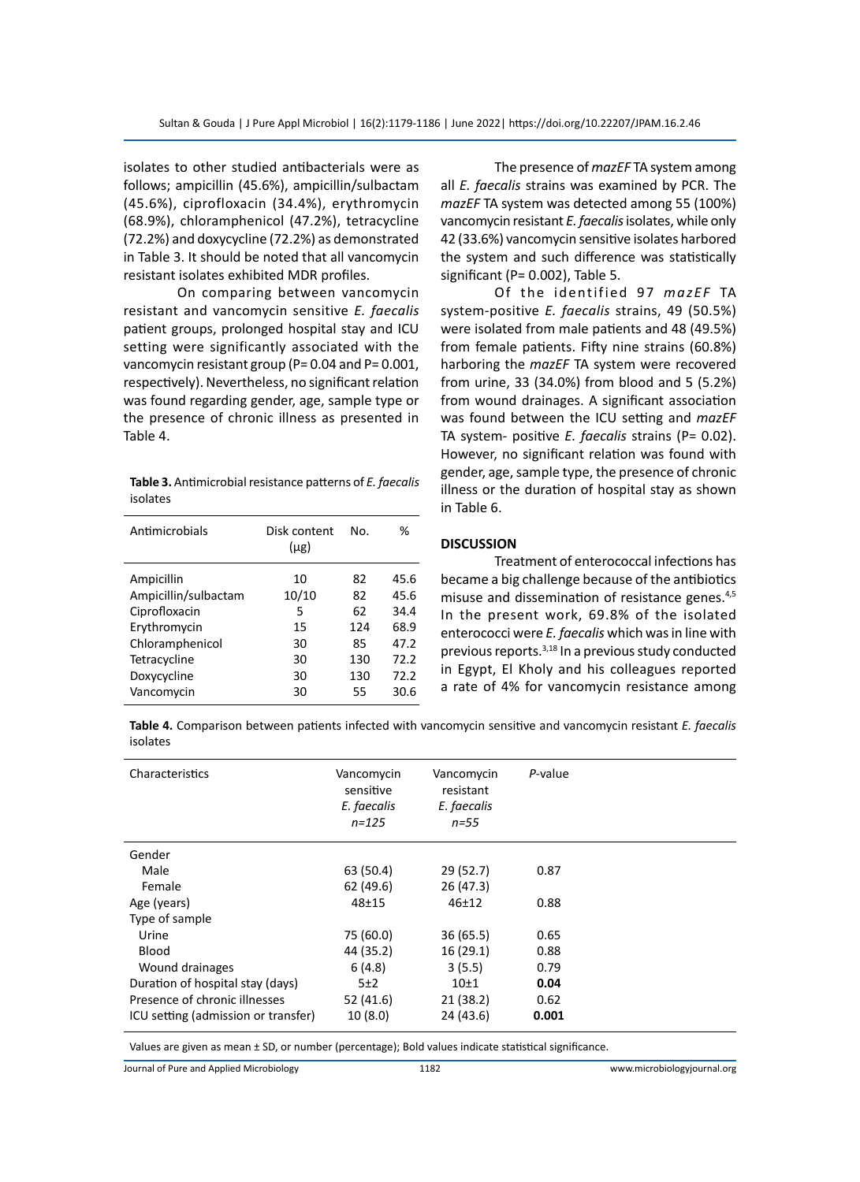isolates to other studied antibacterials were as follows; ampicillin (45.6%), ampicillin/sulbactam (45.6%), ciprofloxacin (34.4%), erythromycin (68.9%), chloramphenicol (47.2%), tetracycline (72.2%) and doxycycline (72.2%) as demonstrated in Table 3. It should be noted that all vancomycin resistant isolates exhibited MDR profiles.

On comparing between vancomycin resistant and vancomycin sensitive *E. faecalis* patient groups, prolonged hospital stay and ICU setting were significantly associated with the vancomycin resistant group (P= 0.04 and P= 0.001, respectively). Nevertheless, no significant relation was found regarding gender, age, sample type or the presence of chronic illness as presented in Table 4.

**Table 3.** Antimicrobial resistance patterns of *E. faecalis* isolates

| Antimicrobials       | Disk content<br>$(\mu$ g) | No. | %    |
|----------------------|---------------------------|-----|------|
| Ampicillin           | 10                        | 82  | 45.6 |
| Ampicillin/sulbactam | 10/10                     | 82  | 45.6 |
| Ciprofloxacin        | 5                         | 62  | 34.4 |
| Erythromycin         | 15                        | 124 | 68.9 |
| Chloramphenicol      | 30                        | 85  | 47.2 |
| Tetracycline         | 30                        | 130 | 72.2 |
| Doxycycline          | 30                        | 130 | 72.2 |
| Vancomycin           | 30                        | 55  | 30.6 |

The presence of *mazEF* TA system among all *E. faecalis* strains was examined by PCR. The *mazEF* TA system was detected among 55 (100%) vancomycin resistant *E. faecalis* isolates, while only 42 (33.6%) vancomycin sensitive isolates harbored the system and such difference was statistically significant (P= 0.002), Table 5.

Of the identified 97 *mazEF* TA system-positive *E. faecalis* strains, 49 (50.5%) were isolated from male patients and 48 (49.5%) from female patients. Fifty nine strains (60.8%) harboring the *mazEF* TA system were recovered from urine, 33 (34.0%) from blood and 5 (5.2%) from wound drainages. A significant association was found between the ICU setting and *mazEF* TA system- positive *E. faecalis* strains (P= 0.02). However, no significant relation was found with gender, age, sample type, the presence of chronic illness or the duration of hospital stay as shown in Table 6.

#### **DISCUSSION**

Treatment of enterococcal infections has became a big challenge because of the antibiotics misuse and dissemination of resistance genes.<sup>4,5</sup> In the present work, 69.8% of the isolated enterococci were *E. faecalis* which was in line with previous reports.3,18 In a previous study conducted in Egypt, El Kholy and his colleagues reported a rate of 4% for vancomycin resistance among

**Table 4.** Comparison between patients infected with vancomycin sensitive and vancomycin resistant *E. faecalis* isolates

| Characteristics                     | Vancomycin<br>sensitive<br>E. faecalis<br>$n = 125$ | Vancomycin<br>resistant<br>E. faecalis<br>$n = 55$ | P-value |  |
|-------------------------------------|-----------------------------------------------------|----------------------------------------------------|---------|--|
| Gender                              |                                                     |                                                    |         |  |
| Male                                | 63 (50.4)                                           | 29(52.7)                                           | 0.87    |  |
| Female                              | 62(49.6)                                            | 26(47.3)                                           |         |  |
| Age (years)                         | $48 + 15$                                           | $46 + 12$                                          | 0.88    |  |
| Type of sample                      |                                                     |                                                    |         |  |
| Urine                               | 75 (60.0)                                           | 36(65.5)                                           | 0.65    |  |
| <b>Blood</b>                        | 44 (35.2)                                           | 16(29.1)                                           | 0.88    |  |
| Wound drainages                     | 6(4.8)                                              | 3(5.5)                                             | 0.79    |  |
| Duration of hospital stay (days)    | 5±2                                                 | 10 <sub>±1</sub>                                   | 0.04    |  |
| Presence of chronic illnesses       | 52 (41.6)                                           | 21 (38.2)                                          | 0.62    |  |
| ICU setting (admission or transfer) | 10(8.0)                                             | 24(43.6)                                           | 0.001   |  |

Values are given as mean ± SD, or number (percentage); Bold values indicate statistical significance.

Journal of Pure and Applied Microbiology 1182 www.microbiologyjournal.org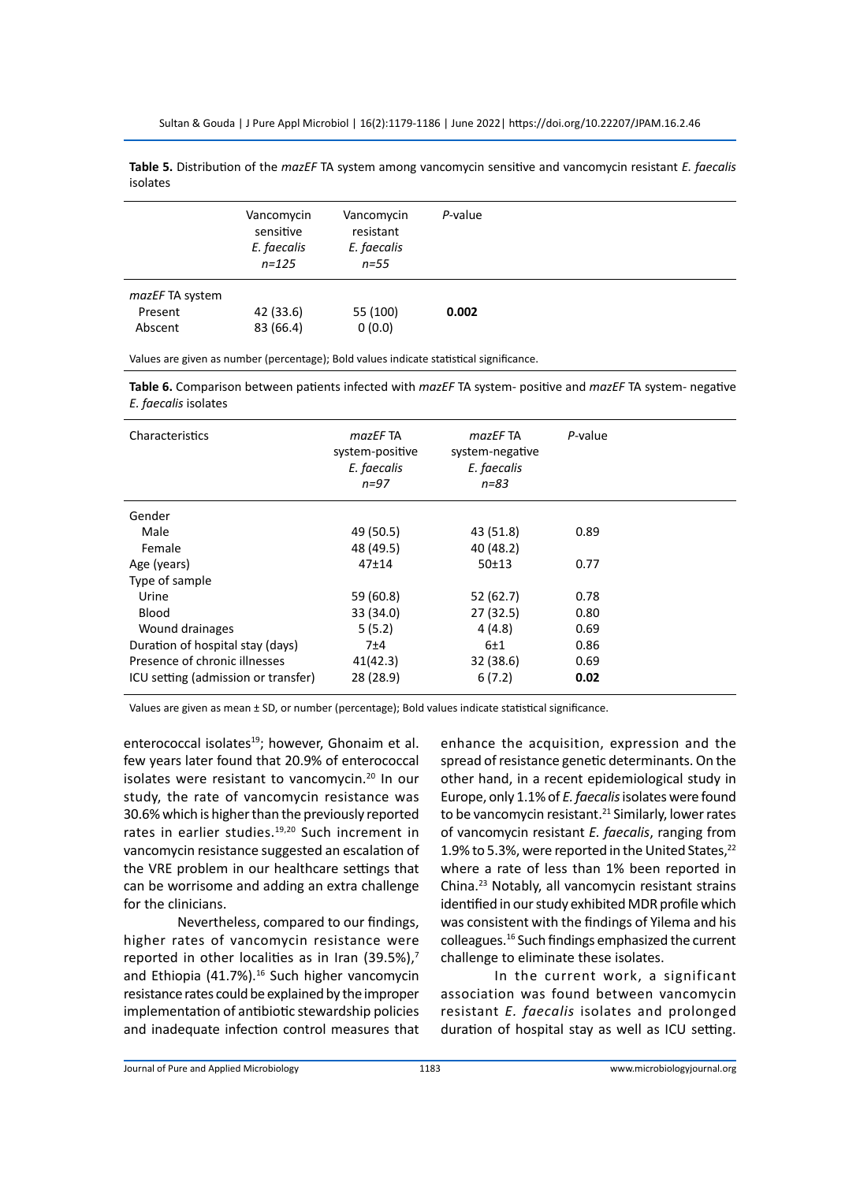Sultan & Gouda | J Pure Appl Microbiol | 16(2):1179-1186 | June 2022| https://doi.org/10.22207/JPAM.16.2.46

**Table 5.** Distribution of the *mazEF* TA system among vancomycin sensitive and vancomycin resistant *E. faecalis* isolates

|                                       | Vancomycin<br>sensitive<br>E. faecalis<br>$n = 125$ | Vancomycin<br>resistant<br>E. faecalis<br>$n = 55$ | P-value |
|---------------------------------------|-----------------------------------------------------|----------------------------------------------------|---------|
| mazEF TA system<br>Present<br>Abscent | 42 (33.6)<br>83 (66.4)                              | 55 (100)<br>0(0.0)                                 | 0.002   |

Values are given as number (percentage); Bold values indicate statistical significance.

**Table 6.** Comparison between patients infected with *mazEF* TA system- positive and *mazEF* TA system- negative *E. faecalis* isolates

| Characteristics                     | mazEF TA<br>system-positive<br>E. faecalis<br>$n = 97$ | mazEF TA<br>system-negative<br>E. faecalis<br>$n = 83$ | P-value |
|-------------------------------------|--------------------------------------------------------|--------------------------------------------------------|---------|
| Gender                              |                                                        |                                                        |         |
| Male                                | 49 (50.5)                                              | 43 (51.8)                                              | 0.89    |
| Female                              | 48 (49.5)                                              | 40 (48.2)                                              |         |
| Age (years)                         | $47 + 14$                                              | 50±13                                                  | 0.77    |
| Type of sample                      |                                                        |                                                        |         |
| Urine                               | 59 (60.8)                                              | 52(62.7)                                               | 0.78    |
| <b>Blood</b>                        | 33 (34.0)                                              | 27(32.5)                                               | 0.80    |
| Wound drainages                     | 5(5.2)                                                 | 4(4.8)                                                 | 0.69    |
| Duration of hospital stay (days)    | 7±4                                                    | 6±1                                                    | 0.86    |
| Presence of chronic illnesses       | 41(42.3)                                               | 32 (38.6)                                              | 0.69    |
| ICU setting (admission or transfer) | 28 (28.9)                                              | 6(7.2)                                                 | 0.02    |

Values are given as mean ± SD, or number (percentage); Bold values indicate statistical significance.

enterococcal isolates<sup>19</sup>; however, Ghonaim et al. few years later found that 20.9% of enterococcal isolates were resistant to vancomycin.<sup>20</sup> In our study, the rate of vancomycin resistance was 30.6% which is higher than the previously reported rates in earlier studies.<sup>19,20</sup> Such increment in vancomycin resistance suggested an escalation of the VRE problem in our healthcare settings that can be worrisome and adding an extra challenge for the clinicians.

Nevertheless, compared to our findings, higher rates of vancomycin resistance were reported in other localities as in Iran (39.5%), $7$ and Ethiopia (41.7%).<sup>16</sup> Such higher vancomycin resistance rates could be explained by the improper implementation of antibiotic stewardship policies and inadequate infection control measures that enhance the acquisition, expression and the spread of resistance genetic determinants. On the other hand, in a recent epidemiological study in Europe, only 1.1% of *E. faecalis* isolates were found to be vancomycin resistant. $21$  Similarly, lower rates of vancomycin resistant *E. faecalis*, ranging from 1.9% to 5.3%, were reported in the United States, $^{22}$ where a rate of less than 1% been reported in China.23 Notably, all vancomycin resistant strains identified in our study exhibited MDR profile which was consistent with the findings of Yilema and his colleagues.16 Such findings emphasized the current challenge to eliminate these isolates.

In the current work, a significant association was found between vancomycin resistant *E. faecalis* isolates and prolonged duration of hospital stay as well as ICU setting.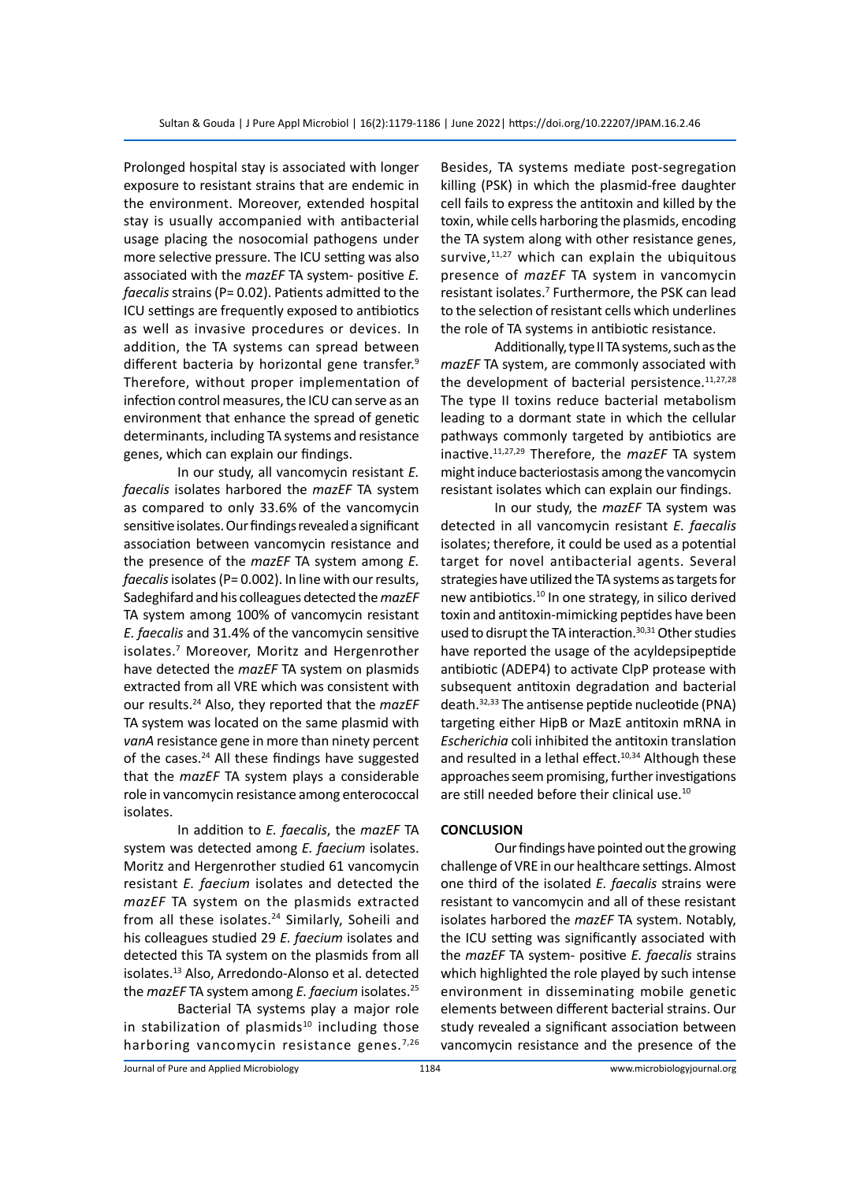Prolonged hospital stay is associated with longer exposure to resistant strains that are endemic in the environment. Moreover, extended hospital stay is usually accompanied with antibacterial usage placing the nosocomial pathogens under more selective pressure. The ICU setting was also associated with the *mazEF* TA system- positive *E. faecalis* strains (P= 0.02). Patients admitted to the ICU settings are frequently exposed to antibiotics as well as invasive procedures or devices. In addition, the TA systems can spread between different bacteria by horizontal gene transfer.<sup>9</sup> Therefore, without proper implementation of infection control measures, the ICU can serve as an environment that enhance the spread of genetic determinants, including TA systems and resistance genes, which can explain our findings.

In our study, all vancomycin resistant *E. faecalis* isolates harbored the *mazEF* TA system as compared to only 33.6% of the vancomycin sensitive isolates. Our findings revealed a significant association between vancomycin resistance and the presence of the *mazEF* TA system among *E. faecalis* isolates (P= 0.002). In line with our results, Sadeghifard and his colleagues detected the *mazEF* TA system among 100% of vancomycin resistant *E. faecalis* and 31.4% of the vancomycin sensitive isolates.7 Moreover, Moritz and Hergenrother have detected the *mazEF* TA system on plasmids extracted from all VRE which was consistent with our results.24 Also, they reported that the *mazEF* TA system was located on the same plasmid with *vanA* resistance gene in more than ninety percent of the cases.<sup>24</sup> All these findings have suggested that the *mazEF* TA system plays a considerable role in vancomycin resistance among enterococcal isolates.

In addition to *E. faecalis*, the *mazEF* TA system was detected among *E. faecium* isolates. Moritz and Hergenrother studied 61 vancomycin resistant *E. faecium* isolates and detected the *mazEF* TA system on the plasmids extracted from all these isolates.<sup>24</sup> Similarly, Soheili and his colleagues studied 29 *E. faecium* isolates and detected this TA system on the plasmids from all isolates.<sup>13</sup> Also, Arredondo-Alonso et al. detected the *mazEF* TA system among *E. faecium* isolates.<sup>25</sup>

Bacterial TA systems play a major role in stabilization of plasmids $10$  including those harboring vancomycin resistance genes.<sup>7,26</sup> Besides, TA systems mediate post-segregation killing (PSK) in which the plasmid-free daughter cell fails to express the antitoxin and killed by the toxin, while cells harboring the plasmids, encoding the TA system along with other resistance genes, survive, $11,27$  which can explain the ubiquitous presence of *mazEF* TA system in vancomycin resistant isolates.<sup>7</sup> Furthermore, the PSK can lead to the selection of resistant cells which underlines the role of TA systems in antibiotic resistance.

Additionally, type II TA systems, such as the *mazEF* TA system, are commonly associated with the development of bacterial persistence.<sup>11,27,28</sup> The type II toxins reduce bacterial metabolism leading to a dormant state in which the cellular pathways commonly targeted by antibiotics are inactive.11,27,29 Therefore, the *mazEF* TA system might induce bacteriostasis among the vancomycin resistant isolates which can explain our findings.

In our study, the *mazEF* TA system was detected in all vancomycin resistant *E. faecalis* isolates; therefore, it could be used as a potential target for novel antibacterial agents. Several strategies have utilized the TA systems as targets for new antibiotics.10 In one strategy, in silico derived toxin and antitoxin-mimicking peptides have been used to disrupt the TA interaction.<sup>30,31</sup> Other studies have reported the usage of the acyldepsipeptide antibiotic (ADEP4) to activate ClpP protease with subsequent antitoxin degradation and bacterial death.32,33 The antisense peptide nucleotide (PNA) targeting either HipB or MazE antitoxin mRNA in *Escherichia* coli inhibited the antitoxin translation and resulted in a lethal effect.<sup>10,34</sup> Although these approaches seem promising, further investigations are still needed before their clinical use.<sup>10</sup>

#### **CONCLUSION**

Our findings have pointed out the growing challenge of VRE in our healthcare settings. Almost one third of the isolated *E. faecalis* strains were resistant to vancomycin and all of these resistant isolates harbored the *mazEF* TA system. Notably, the ICU setting was significantly associated with the *mazEF* TA system- positive *E. faecalis* strains which highlighted the role played by such intense environment in disseminating mobile genetic elements between different bacterial strains. Our study revealed a significant association between vancomycin resistance and the presence of the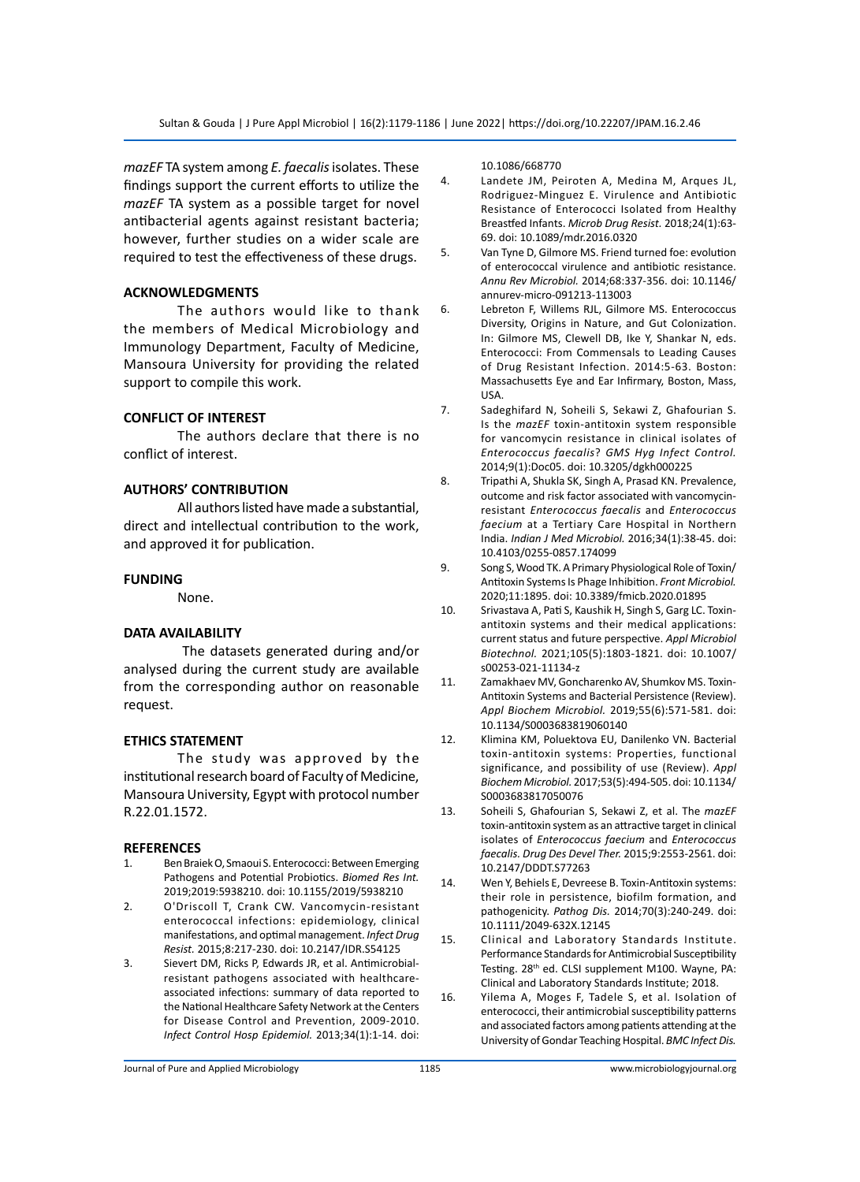*mazEF* TA system among *E. faecalis* isolates. These findings support the current efforts to utilize the *mazEF* TA system as a possible target for novel antibacterial agents against resistant bacteria; however, further studies on a wider scale are required to test the effectiveness of these drugs.

#### **ACKNOWLEDGMENTS**

The authors would like to thank the members of Medical Microbiology and Immunology Department, Faculty of Medicine, Mansoura University for providing the related support to compile this work.

### **CONFLICT OF INTEREST**

The authors declare that there is no conflict of interest.

### **AUTHORS' CONTRIBUTION**

All authors listed have made a substantial, direct and intellectual contribution to the work, and approved it for publication.

#### **FUNDING**

None.

#### **DATA AVAILABILITY**

 The datasets generated during and/or analysed during the current study are available from the corresponding author on reasonable request.

### **ETHICS STATEMENT**

The study was approved by the institutional research board of Faculty of Medicine, Mansoura University, Egypt with protocol number R.22.01.1572.

#### **REFERENCES**

- 1. Ben Braiek O, Smaoui S. Enterococci: Between Emerging Pathogens and Potential Probiotics. *Biomed Res Int.* 2019;2019:5938210. doi: 10.1155/2019/5938210
- 2. O'Driscoll T, Crank CW. Vancomycin-resistant enterococcal infections: epidemiology, clinical manifestations, and optimal management. *Infect Drug Resist.* 2015;8:217-230. doi: 10.2147/IDR.S54125
- 3. Sievert DM, Ricks P, Edwards JR, et al. Antimicrobialresistant pathogens associated with healthcareassociated infections: summary of data reported to the National Healthcare Safety Network at the Centers for Disease Control and Prevention, 2009-2010. *Infect Control Hosp Epidemiol.* 2013;34(1):1-14. doi:

10.1086/668770

- 4. Landete JM, Peiroten A, Medina M, Arques JL, Rodriguez-Minguez E. Virulence and Antibiotic Resistance of Enterococci Isolated from Healthy Breastfed Infants. *Microb Drug Resist.* 2018;24(1):63- 69. doi: 10.1089/mdr.2016.0320
- 5. Van Tyne D, Gilmore MS. Friend turned foe: evolution of enterococcal virulence and antibiotic resistance. *Annu Rev Microbiol.* 2014;68:337-356. doi: 10.1146/ annurev-micro-091213-113003
- 6. Lebreton F, Willems RJL, Gilmore MS. Enterococcus Diversity, Origins in Nature, and Gut Colonization. In: Gilmore MS, Clewell DB, Ike Y, Shankar N, eds. Enterococci: From Commensals to Leading Causes of Drug Resistant Infection. 2014:5-63. Boston: Massachusetts Eye and Ear Infirmary, Boston, Mass, USA.
- 7. Sadeghifard N, Soheili S, Sekawi Z, Ghafourian S. Is the *mazEF* toxin-antitoxin system responsible for vancomycin resistance in clinical isolates of *Enterococcus faecalis*? *GMS Hyg Infect Control.*  2014;9(1):Doc05. doi: 10.3205/dgkh000225
- 8. Tripathi A, Shukla SK, Singh A, Prasad KN. Prevalence, outcome and risk factor associated with vancomycinresistant *Enterococcus faecalis* and *Enterococcus faecium* at a Tertiary Care Hospital in Northern India. *Indian J Med Microbiol.* 2016;34(1):38-45. doi: 10.4103/0255-0857.174099
- 9. Song S, Wood TK. A Primary Physiological Role of Toxin/ Antitoxin Systems Is Phage Inhibition. *Front Microbiol.* 2020;11:1895. doi: 10.3389/fmicb.2020.01895
- 10. Srivastava A, Pati S, Kaushik H, Singh S, Garg LC. Toxinantitoxin systems and their medical applications: current status and future perspective. *Appl Microbiol Biotechnol.* 2021;105(5):1803-1821. doi: 10.1007/ s00253-021-11134-z
- 11. Zamakhaev MV, Goncharenko AV, Shumkov MS. Toxin-Antitoxin Systems and Bacterial Persistence (Review). *Appl Biochem Microbiol.* 2019;55(6):571-581. doi: 10.1134/S0003683819060140
- 12. Klimina KM, Poluektova EU, Danilenko VN. Bacterial toxin-antitoxin systems: Properties, functional significance, and possibility of use (Review). *Appl Biochem Microbiol.* 2017;53(5):494-505. doi: 10.1134/ S0003683817050076
- 13. Soheili S, Ghafourian S, Sekawi Z, et al. The *mazEF* toxin-antitoxin system as an attractive target in clinical isolates of *Enterococcus faecium* and *Enterococcus faecalis. Drug Des Devel Ther.* 2015;9:2553-2561. doi: 10.2147/DDDT.S77263
- 14. Wen Y, Behiels E, Devreese B. Toxin-Antitoxin systems: their role in persistence, biofilm formation, and pathogenicity. *Pathog Dis.* 2014;70(3):240-249. doi: 10.1111/2049-632X.12145
- 15. Clinical and Laboratory Standards Institute. Performance Standards for Antimicrobial Susceptibility Testing. 28<sup>th</sup> ed. CLSI supplement M100. Wayne, PA: Clinical and Laboratory Standards Institute; 2018.
- 16. Yilema A, Moges F, Tadele S, et al. Isolation of enterococci, their antimicrobial susceptibility patterns and associated factors among patients attending at the University of Gondar Teaching Hospital. *BMC Infect Dis.*